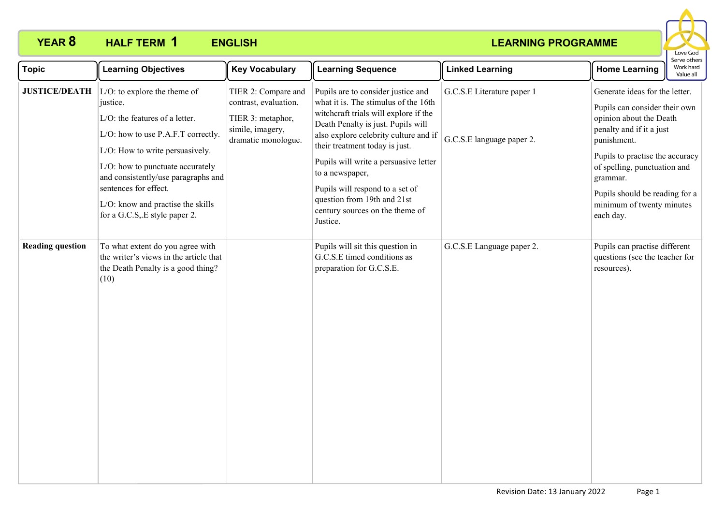

| <b>Topic</b>            | <b>Learning Objectives</b>                                                                                                                                                                                                                                                                                                        | <b>Key Vocabulary</b>                                                                                        | <b>Learning Sequence</b>                                                                                                                                                                                                                                                                                                                                                                                          | <b>Linked Learning</b>                                  | <b>Home Learning</b>                                                                                                                                                                                                                                                                             | ei ve other<br>Work hard<br>Value all |
|-------------------------|-----------------------------------------------------------------------------------------------------------------------------------------------------------------------------------------------------------------------------------------------------------------------------------------------------------------------------------|--------------------------------------------------------------------------------------------------------------|-------------------------------------------------------------------------------------------------------------------------------------------------------------------------------------------------------------------------------------------------------------------------------------------------------------------------------------------------------------------------------------------------------------------|---------------------------------------------------------|--------------------------------------------------------------------------------------------------------------------------------------------------------------------------------------------------------------------------------------------------------------------------------------------------|---------------------------------------|
| <b>JUSTICE/DEATH</b>    | $ L/O$ : to explore the theme of<br>justice.<br>L/O: the features of a letter.<br>L/O: how to use P.A.F.T correctly.<br>L/O: How to write persuasively.<br>L/O: how to punctuate accurately<br>and consistently/use paragraphs and<br>sentences for effect.<br>L/O: know and practise the skills<br>for a G.C.S. E style paper 2. | TIER 2: Compare and<br>contrast, evaluation.<br>TIER 3: metaphor,<br>simile, imagery,<br>dramatic monologue. | Pupils are to consider justice and<br>what it is. The stimulus of the 16th<br>witchcraft trials will explore if the<br>Death Penalty is just. Pupils will<br>also explore celebrity culture and if<br>their treatment today is just.<br>Pupils will write a persuasive letter<br>to a newspaper,<br>Pupils will respond to a set of<br>question from 19th and 21st<br>century sources on the theme of<br>Justice. | G.C.S.E Literature paper 1<br>G.C.S.E language paper 2. | Generate ideas for the letter.<br>Pupils can consider their own<br>opinion about the Death<br>penalty and if it a just<br>punishment.<br>Pupils to practise the accuracy<br>of spelling, punctuation and<br>grammar.<br>Pupils should be reading for a<br>minimum of twenty minutes<br>each day. |                                       |
| <b>Reading question</b> | To what extent do you agree with<br>the writer's views in the article that<br>the Death Penalty is a good thing?<br>(10)                                                                                                                                                                                                          |                                                                                                              | Pupils will sit this question in<br>G.C.S.E timed conditions as<br>preparation for G.C.S.E.                                                                                                                                                                                                                                                                                                                       | G.C.S.E Language paper 2.                               | Pupils can practise different<br>questions (see the teacher for<br>resources).                                                                                                                                                                                                                   |                                       |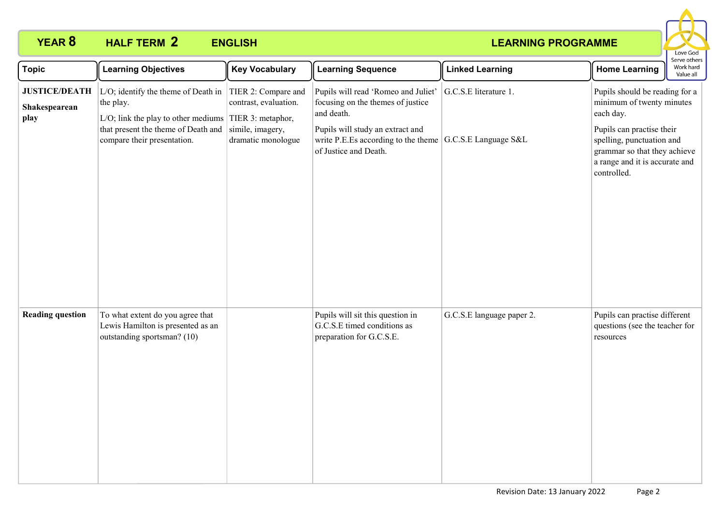

| <b>Topic</b>                                  | <b>Learning Objectives</b>                                                                                                                                                              | <b>Key Vocabulary</b>                                                                  | <b>Learning Sequence</b>                                                                                                                                                                       | <b>Linked Learning</b>                        | Serve others<br>Work hard<br><b>Home Learning</b><br>Value all                                                                                                                                                      |
|-----------------------------------------------|-----------------------------------------------------------------------------------------------------------------------------------------------------------------------------------------|----------------------------------------------------------------------------------------|------------------------------------------------------------------------------------------------------------------------------------------------------------------------------------------------|-----------------------------------------------|---------------------------------------------------------------------------------------------------------------------------------------------------------------------------------------------------------------------|
| <b>JUSTICE/DEATH</b><br>Shakespearean<br>play | L/O; identify the theme of Death in<br>the play.<br>L/O; link the play to other mediums $\vert$ TIER 3: metaphor,<br>that present the theme of Death and<br>compare their presentation. | TIER 2: Compare and<br>contrast, evaluation.<br>simile, imagery,<br>dramatic monologue | Pupils will read 'Romeo and Juliet'<br>focusing on the themes of justice<br>and death.<br>Pupils will study an extract and<br>write P.E.Es according to the theme $ $<br>of Justice and Death. | G.C.S.E literature 1.<br>G.C.S.E Language S&L | Pupils should be reading for a<br>minimum of twenty minutes<br>each day.<br>Pupils can practise their<br>spelling, punctuation and<br>grammar so that they achieve<br>a range and it is accurate and<br>controlled. |
| <b>Reading question</b>                       | To what extent do you agree that<br>Lewis Hamilton is presented as an<br>outstanding sportsman? (10)                                                                                    |                                                                                        | Pupils will sit this question in<br>G.C.S.E timed conditions as<br>preparation for G.C.S.E.                                                                                                    | G.C.S.E language paper 2.                     | Pupils can practise different<br>questions (see the teacher for<br>resources                                                                                                                                        |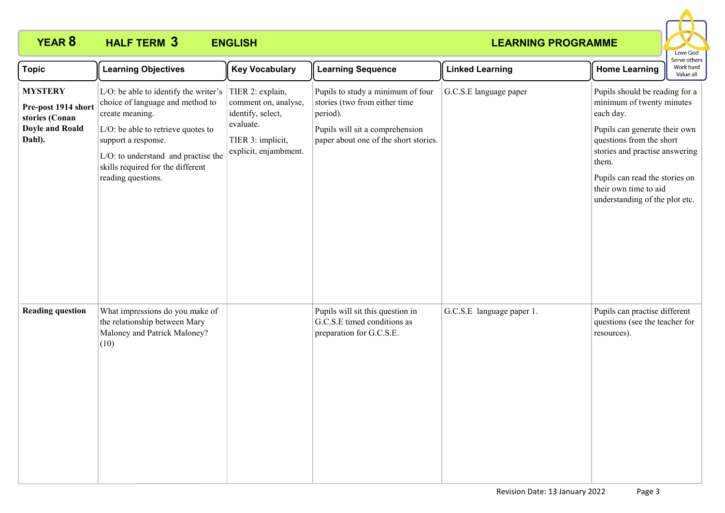

| <b>Topic</b>                                                                                | <b>Learning Objectives</b>                                                                                                                                                                                                                                  | <b>Key Vocabulary</b>                                                                                                    | <b>Learning Sequence</b>                                                                                                                                   | <b>Linked Learning</b>    | Serve others<br>Work hard<br><b>Home Learning</b><br>Value all                                                                                                                                                                                                                |
|---------------------------------------------------------------------------------------------|-------------------------------------------------------------------------------------------------------------------------------------------------------------------------------------------------------------------------------------------------------------|--------------------------------------------------------------------------------------------------------------------------|------------------------------------------------------------------------------------------------------------------------------------------------------------|---------------------------|-------------------------------------------------------------------------------------------------------------------------------------------------------------------------------------------------------------------------------------------------------------------------------|
| <b>MYSTERY</b><br>Pre-post 1914 short<br>stories (Conan<br><b>Doyle and Roald</b><br>Dahl). | L/O: be able to identify the writer's<br>choice of language and method to<br>create meaning.<br>L/O: be able to retrieve quotes to<br>support a response.<br>L/O: to understand and practise the<br>skills required for the different<br>reading questions. | TIER 2: explain,<br>comment on, analyse,<br>identify, select,<br>evaluate.<br>TIER 3: implicit,<br>explicit, enjambment. | Pupils to study a minimum of four<br>stories (two from either time<br>period).<br>Pupils will sit a comprehension<br>paper about one of the short stories. | G.C.S.E language paper    | Pupils should be reading for a<br>minimum of twenty minutes<br>each day.<br>Pupils can generate their own<br>questions from the short<br>stories and practise answering<br>them.<br>Pupils can read the stories on<br>their own time to aid<br>understanding of the plot etc. |
| <b>Reading question</b>                                                                     | What impressions do you make of<br>the relationship between Mary<br>Maloney and Patrick Maloney?<br>(10)                                                                                                                                                    |                                                                                                                          | Pupils will sit this question in<br>G.C.S.E timed conditions as<br>preparation for G.C.S.E.                                                                | G.C.S.E language paper 1. | Pupils can practise different<br>questions (see the teacher for<br>resources).                                                                                                                                                                                                |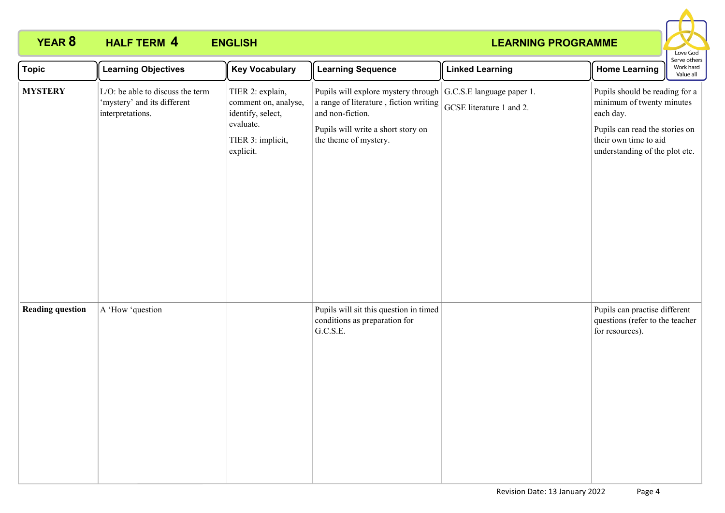

| <b>Topic</b>            | <b>Learning Objectives</b>                                                          | <b>Key Vocabulary</b>                                                                                        | <b>Learning Sequence</b>                                                                                                                                                                   | <b>Linked Learning</b>   | <b>Home Learning</b>                                                                                                                                                  | Serve others<br>Work hard<br>Value all |
|-------------------------|-------------------------------------------------------------------------------------|--------------------------------------------------------------------------------------------------------------|--------------------------------------------------------------------------------------------------------------------------------------------------------------------------------------------|--------------------------|-----------------------------------------------------------------------------------------------------------------------------------------------------------------------|----------------------------------------|
| <b>MYSTERY</b>          | L/O: be able to discuss the term<br>'mystery' and its different<br>interpretations. | TIER 2: explain,<br>comment on, analyse,<br>identify, select,<br>evaluate.<br>TIER 3: implicit,<br>explicit. | Pupils will explore mystery through G.C.S.E language paper 1.<br>a range of literature, fiction writing<br>and non-fiction.<br>Pupils will write a short story on<br>the theme of mystery. | GCSE literature 1 and 2. | Pupils should be reading for a<br>minimum of twenty minutes<br>each day.<br>Pupils can read the stories on<br>their own time to aid<br>understanding of the plot etc. |                                        |
| <b>Reading question</b> | A 'How 'question                                                                    |                                                                                                              | Pupils will sit this question in timed<br>conditions as preparation for<br>G.C.S.E.                                                                                                        |                          | Pupils can practise different<br>questions (refer to the teacher<br>for resources).                                                                                   |                                        |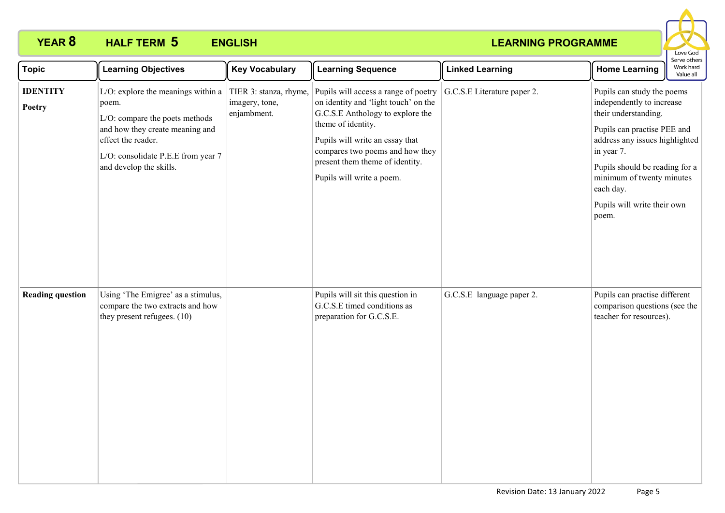

| <b>Topic</b>              | <b>Learning Objectives</b>                                                                                                                                                                              | <b>Key Vocabulary</b>                                   | <b>Learning Sequence</b>                                                                                                                                                                                                                                                     | <b>Linked Learning</b>      | Serve others<br>Work hard<br><b>Home Learning</b><br>Value all                                                                                                                                                                                                                     |
|---------------------------|---------------------------------------------------------------------------------------------------------------------------------------------------------------------------------------------------------|---------------------------------------------------------|------------------------------------------------------------------------------------------------------------------------------------------------------------------------------------------------------------------------------------------------------------------------------|-----------------------------|------------------------------------------------------------------------------------------------------------------------------------------------------------------------------------------------------------------------------------------------------------------------------------|
| <b>IDENTITY</b><br>Poetry | L/O: explore the meanings within a<br>poem.<br>L/O: compare the poets methods<br>and how they create meaning and<br>effect the reader.<br>L/O: consolidate P.E.E from year 7<br>and develop the skills. | TIER 3: stanza, rhyme,<br>imagery, tone,<br>enjambment. | Pupils will access a range of poetry<br>on identity and 'light touch' on the<br>G.C.S.E Anthology to explore the<br>theme of identity.<br>Pupils will write an essay that<br>compares two poems and how they<br>present them theme of identity.<br>Pupils will write a poem. | G.C.S.E Literature paper 2. | Pupils can study the poems<br>independently to increase<br>their understanding.<br>Pupils can practise PEE and<br>address any issues highlighted<br>in year 7.<br>Pupils should be reading for a<br>minimum of twenty minutes<br>each day.<br>Pupils will write their own<br>poem. |
| <b>Reading question</b>   | Using 'The Emigree' as a stimulus,<br>compare the two extracts and how<br>they present refugees. (10)                                                                                                   |                                                         | Pupils will sit this question in<br>G.C.S.E timed conditions as<br>preparation for G.C.S.E.                                                                                                                                                                                  | G.C.S.E language paper 2.   | Pupils can practise different<br>comparison questions (see the<br>teacher for resources).                                                                                                                                                                                          |